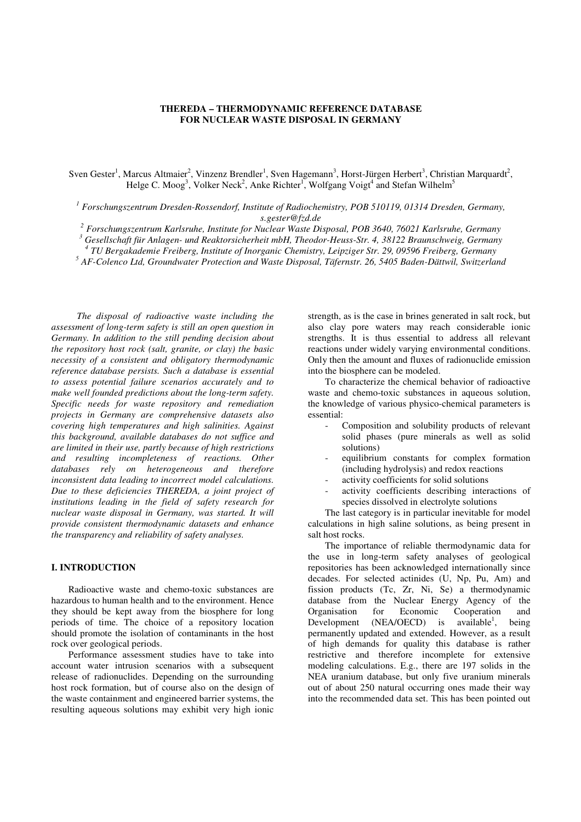#### **THEREDA – THERMODYNAMIC REFERENCE DATABASE FOR NUCLEAR WASTE DISPOSAL IN GERMANY**

Sven Gester<sup>1</sup>, Marcus Altmaier<sup>2</sup>, Vinzenz Brendler<sup>1</sup>, Sven Hagemann<sup>3</sup>, Horst-Jürgen Herbert<sup>3</sup>, Christian Marquardt<sup>2</sup>, Helge C. Moog<sup>3</sup>, Volker Neck<sup>2</sup>, Anke Richter<sup>1</sup>, Wolfgang Voigt<sup>4</sup> and Stefan Wilhelm<sup>5</sup>

<sup>1</sup> Forschungszentrum Dresden-Rossendorf, Institute of Radiochemistry, POB 510119, 01314 Dresden, Germany, *s.gester@fzd.de* 

*2 Forschungszentrum Karlsruhe, Institute for Nuclear Waste Disposal, POB 3640, 76021 Karlsruhe, Germany*

*3 Gesellschaft für Anlagen- und Reaktorsicherheit mbH, Theodor-Heuss-Str. 4, 38122 Braunschweig, Germany* 

*4 TU Bergakademie Freiberg, Institute of Inorganic Chemistry, Leipziger Str. 29, 09596 Freiberg, Germany* 

*5 AF-Colenco Ltd, Groundwater Protection and Waste Disposal, Täfernstr. 26, 5405 Baden-Dättwil, Switzerland* 

*The disposal of radioactive waste including the assessment of long-term safety is still an open question in Germany. In addition to the still pending decision about the repository host rock (salt, granite, or clay) the basic necessity of a consistent and obligatory thermodynamic reference database persists. Such a database is essential to assess potential failure scenarios accurately and to make well founded predictions about the long-term safety. Specific needs for waste repository and remediation projects in Germany are comprehensive datasets also covering high temperatures and high salinities. Against this background, available databases do not suffice and are limited in their use, partly because of high restrictions and resulting incompleteness of reactions. Other databases rely on heterogeneous and therefore inconsistent data leading to incorrect model calculations. Due to these deficiencies THEREDA, a joint project of institutions leading in the field of safety research for nuclear waste disposal in Germany, was started. It will provide consistent thermodynamic datasets and enhance the transparency and reliability of safety analyses.* 

## **I. INTRODUCTION**

Radioactive waste and chemo-toxic substances are hazardous to human health and to the environment. Hence they should be kept away from the biosphere for long periods of time. The choice of a repository location should promote the isolation of contaminants in the host rock over geological periods.

Performance assessment studies have to take into account water intrusion scenarios with a subsequent release of radionuclides. Depending on the surrounding host rock formation, but of course also on the design of the waste containment and engineered barrier systems, the resulting aqueous solutions may exhibit very high ionic

strength, as is the case in brines generated in salt rock, but also clay pore waters may reach considerable ionic strengths. It is thus essential to address all relevant reactions under widely varying environmental conditions. Only then the amount and fluxes of radionuclide emission into the biosphere can be modeled.

To characterize the chemical behavior of radioactive waste and chemo-toxic substances in aqueous solution, the knowledge of various physico-chemical parameters is essential:

- Composition and solubility products of relevant solid phases (pure minerals as well as solid solutions)
- equilibrium constants for complex formation (including hydrolysis) and redox reactions
- activity coefficients for solid solutions
- activity coefficients describing interactions of species dissolved in electrolyte solutions

The last category is in particular inevitable for model calculations in high saline solutions, as being present in salt host rocks.

The importance of reliable thermodynamic data for the use in long-term safety analyses of geological repositories has been acknowledged internationally since decades. For selected actinides (U, Np, Pu, Am) and fission products (Tc, Zr, Ni, Se) a thermodynamic database from the Nuclear Energy Agency of the Organisation for Economic Cooperation and Development (NEA/OECD) is available<sup>1</sup>, being. permanently updated and extended. However, as a result of high demands for quality this database is rather restrictive and therefore incomplete for extensive modeling calculations. E.g., there are 197 solids in the NEA uranium database, but only five uranium minerals out of about 250 natural occurring ones made their way into the recommended data set. This has been pointed out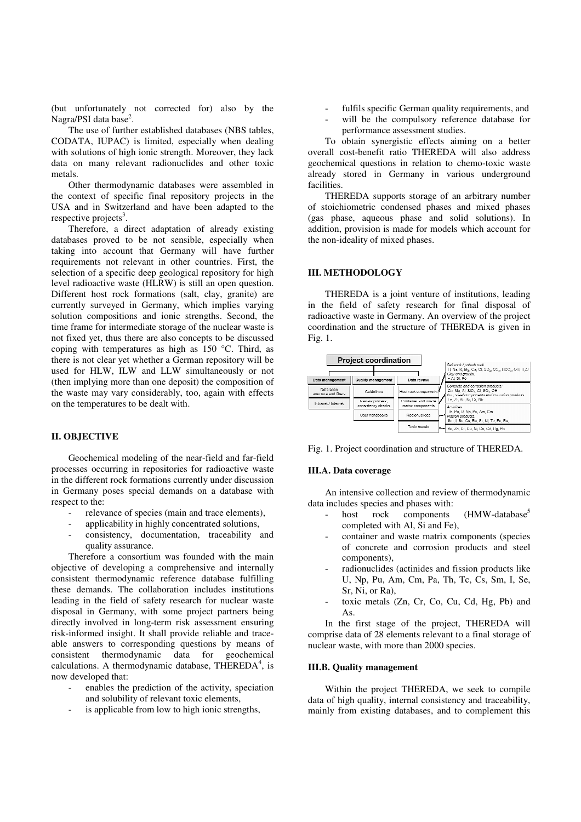(but unfortunately not corrected for) also by the Nagra/PSI data base<sup>2</sup>.

The use of further established databases (NBS tables, CODATA, IUPAC) is limited, especially when dealing with solutions of high ionic strength. Moreover, they lack data on many relevant radionuclides and other toxic metals.

Other thermodynamic databases were assembled in the context of specific final repository projects in the USA and in Switzerland and have been adapted to the respective projects<sup>3</sup>.

Therefore, a direct adaptation of already existing databases proved to be not sensible, especially when taking into account that Germany will have further requirements not relevant in other countries. First, the selection of a specific deep geological repository for high level radioactive waste (HLRW) is still an open question. Different host rock formations (salt, clay, granite) are currently surveyed in Germany, which implies varying solution compositions and ionic strengths. Second, the time frame for intermediate storage of the nuclear waste is not fixed yet, thus there are also concepts to be discussed coping with temperatures as high as 150 °C. Third, as there is not clear yet whether a German repository will be used for HLW, ILW and LLW simultaneously or not (then implying more than one deposit) the composition of the waste may vary considerably, too, again with effects on the temperatures to be dealt with.

## **II. OBJECTIVE**

Geochemical modeling of the near-field and far-field processes occurring in repositories for radioactive waste in the different rock formations currently under discussion in Germany poses special demands on a database with respect to the:

- relevance of species (main and trace elements),
- applicability in highly concentrated solutions,
- consistency, documentation, traceability and quality assurance.

Therefore a consortium was founded with the main objective of developing a comprehensive and internally consistent thermodynamic reference database fulfilling these demands. The collaboration includes institutions leading in the field of safety research for nuclear waste disposal in Germany, with some project partners being directly involved in long-term risk assessment ensuring risk-informed insight. It shall provide reliable and traceable answers to corresponding questions by means of consistent thermodynamic data for geochemical calculations. A thermodynamic database, THEREDA<sup>4</sup>, is now developed that:

- enables the prediction of the activity, speciation and solubility of relevant toxic elements,
- is applicable from low to high ionic strengths,
- fulfils specific German quality requirements, and
- will be the compulsory reference database for performance assessment studies.

To obtain synergistic effects aiming on a better overall cost-benefit ratio THEREDA will also address geochemical questions in relation to chemo-toxic waste already stored in Germany in various underground facilities.

THEREDA supports storage of an arbitrary number of stoichiometric condensed phases and mixed phases (gas phase, aqueous phase and solid solutions). In addition, provision is made for models which account for the non-ideality of mixed phases.

## **III. METHODOLOGY**

THEREDA is a joint venture of institutions, leading in the field of safety research for final disposal of radioactive waste in Germany. An overview of the project coordination and the structure of THEREDA is given in Fig. 1.



Fig. 1. Project coordination and structure of THEREDA.

#### **III.A. Data coverage**

An intensive collection and review of thermodynamic data includes species and phases with:

- host rock components (HMW-database<sup>5</sup> completed with Al, Si and Fe),
- container and waste matrix components (species of concrete and corrosion products and steel components),
- radionuclides (actinides and fission products like U, Np, Pu, Am, Cm, Pa, Th, Tc, Cs, Sm, I, Se, Sr, Ni, or Ra),
- toxic metals (Zn, Cr, Co, Cu, Cd, Hg, Pb) and As.

In the first stage of the project, THEREDA will comprise data of 28 elements relevant to a final storage of nuclear waste, with more than 2000 species.

#### **III.B. Quality management**

Within the project THEREDA, we seek to compile data of high quality, internal consistency and traceability, mainly from existing databases, and to complement this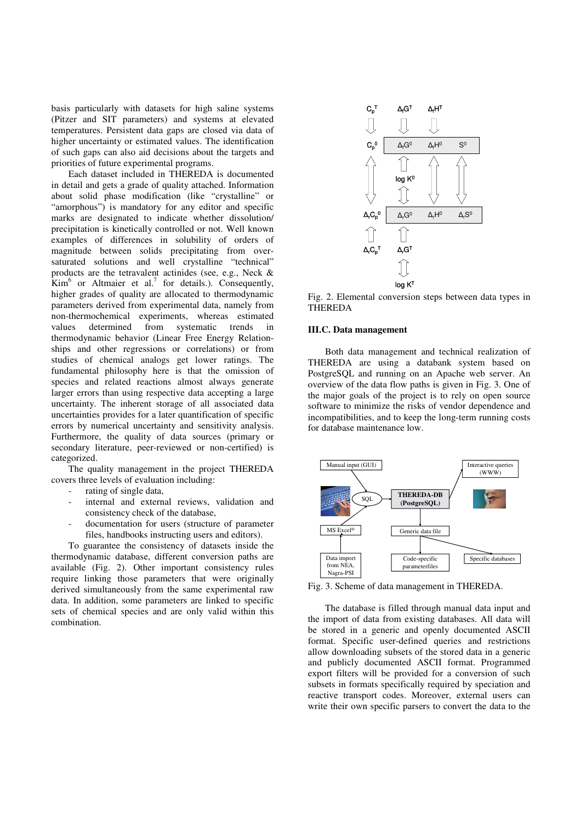basis particularly with datasets for high saline systems (Pitzer and SIT parameters) and systems at elevated temperatures. Persistent data gaps are closed via data of higher uncertainty or estimated values. The identification of such gaps can also aid decisions about the targets and priorities of future experimental programs.

Each dataset included in THEREDA is documented in detail and gets a grade of quality attached. Information about solid phase modification (like "crystalline" or "amorphous") is mandatory for any editor and specific marks are designated to indicate whether dissolution/ precipitation is kinetically controlled or not. Well known examples of differences in solubility of orders of magnitude between solids precipitating from oversaturated solutions and well crystalline "technical" products are the tetravalent actinides (see, e.g., Neck &  $\text{Kim}^6$  or Altmaier et al.<sup>7</sup> for details.). Consequently, higher grades of quality are allocated to thermodynamic parameters derived from experimental data, namely from non-thermochemical experiments, whereas estimated values determined from systematic trends in thermodynamic behavior (Linear Free Energy Relationships and other regressions or correlations) or from studies of chemical analogs get lower ratings. The fundamental philosophy here is that the omission of species and related reactions almost always generate larger errors than using respective data accepting a large uncertainty. The inherent storage of all associated data uncertainties provides for a later quantification of specific errors by numerical uncertainty and sensitivity analysis. Furthermore, the quality of data sources (primary or secondary literature, peer-reviewed or non-certified) is categorized.

The quality management in the project THEREDA covers three levels of evaluation including:

- rating of single data,
- internal and external reviews, validation and consistency check of the database,
- documentation for users (structure of parameter files, handbooks instructing users and editors).

To guarantee the consistency of datasets inside the thermodynamic database, different conversion paths are available (Fig. 2). Other important consistency rules require linking those parameters that were originally derived simultaneously from the same experimental raw data. In addition, some parameters are linked to specific sets of chemical species and are only valid within this combination.



Fig. 2. Elemental conversion steps between data types in THEREDA

#### **III.C. Data management**

Both data management and technical realization of THEREDA are using a databank system based on PostgreSQL and running on an Apache web server. An overview of the data flow paths is given in Fig. 3. One of the major goals of the project is to rely on open source software to minimize the risks of vendor dependence and incompatibilities, and to keep the long-term running costs for database maintenance low.



Fig. 3. Scheme of data management in THEREDA.

The database is filled through manual data input and the import of data from existing databases. All data will be stored in a generic and openly documented ASCII format. Specific user-defined queries and restrictions allow downloading subsets of the stored data in a generic and publicly documented ASCII format. Programmed export filters will be provided for a conversion of such subsets in formats specifically required by speciation and reactive transport codes. Moreover, external users can write their own specific parsers to convert the data to the